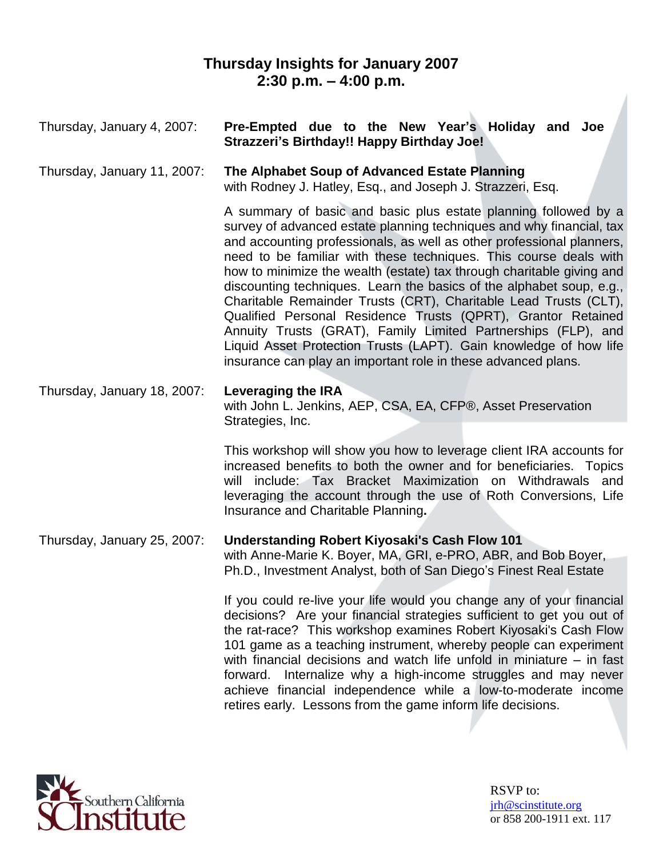# **Thursday Insights for January 2007 2:30 p.m. –4:00 p.m.**

| Thursday, January 4, 2007:  | Pre-Empted due to the New Year's Holiday and Joe<br>Strazzeri's Birthday!! Happy Birthday Joe!                                                                                                                                                                                                                                                                                                                                                                                                                                                                                                                                                                                                                                                                                    |
|-----------------------------|-----------------------------------------------------------------------------------------------------------------------------------------------------------------------------------------------------------------------------------------------------------------------------------------------------------------------------------------------------------------------------------------------------------------------------------------------------------------------------------------------------------------------------------------------------------------------------------------------------------------------------------------------------------------------------------------------------------------------------------------------------------------------------------|
| Thursday, January 11, 2007: | The Alphabet Soup of Advanced Estate Planning<br>with Rodney J. Hatley, Esq., and Joseph J. Strazzeri, Esq.                                                                                                                                                                                                                                                                                                                                                                                                                                                                                                                                                                                                                                                                       |
|                             | A summary of basic and basic plus estate planning followed by a<br>survey of advanced estate planning techniques and why financial, tax<br>and accounting professionals, as well as other professional planners,<br>need to be familiar with these techniques. This course deals with<br>how to minimize the wealth (estate) tax through charitable giving and<br>discounting techniques. Learn the basics of the alphabet soup, e.g.,<br>Charitable Remainder Trusts (CRT), Charitable Lead Trusts (CLT),<br>Qualified Personal Residence Trusts (QPRT), Grantor Retained<br>Annuity Trusts (GRAT), Family Limited Partnerships (FLP), and<br>Liquid Asset Protection Trusts (LAPT). Gain knowledge of how life<br>insurance can play an important role in these advanced plans. |
| Thursday, January 18, 2007: | Leveraging the IRA<br>with John L. Jenkins, AEP, CSA, EA, CFP®, Asset Preservation<br>Strategies, Inc.                                                                                                                                                                                                                                                                                                                                                                                                                                                                                                                                                                                                                                                                            |
|                             | This workshop will show you how to leverage client IRA accounts for<br>increased benefits to both the owner and for beneficiaries. Topics<br>will include: Tax Bracket Maximization on Withdrawals and<br>leveraging the account through the use of Roth Conversions, Life<br>Insurance and Charitable Planning.                                                                                                                                                                                                                                                                                                                                                                                                                                                                  |
| Thursday, January 25, 2007: | <b>Understanding Robert Kiyosaki's Cash Flow 101</b><br>with Anne-Marie K. Boyer, MA, GRI, e-PRO, ABR, and Bob Boyer,<br>Ph.D., Investment Analyst, both of San Diego's Finest Real Estate                                                                                                                                                                                                                                                                                                                                                                                                                                                                                                                                                                                        |
|                             | If you could re-live your life would you change any of your financial<br>decisions? Are your financial strategies sufficient to get you out of<br>the rat-race? This workshop examines Robert Kiyosaki's Cash Flow<br>101 game as a teaching instrument, whereby people can experiment<br>with financial decisions and watch life unfold in miniature $-$ in fast<br>forward. Internalize why a high-income struggles and may never<br>achieve financial independence while a low-to-moderate income<br>retires early. Lessons from the game inform life decisions.                                                                                                                                                                                                               |

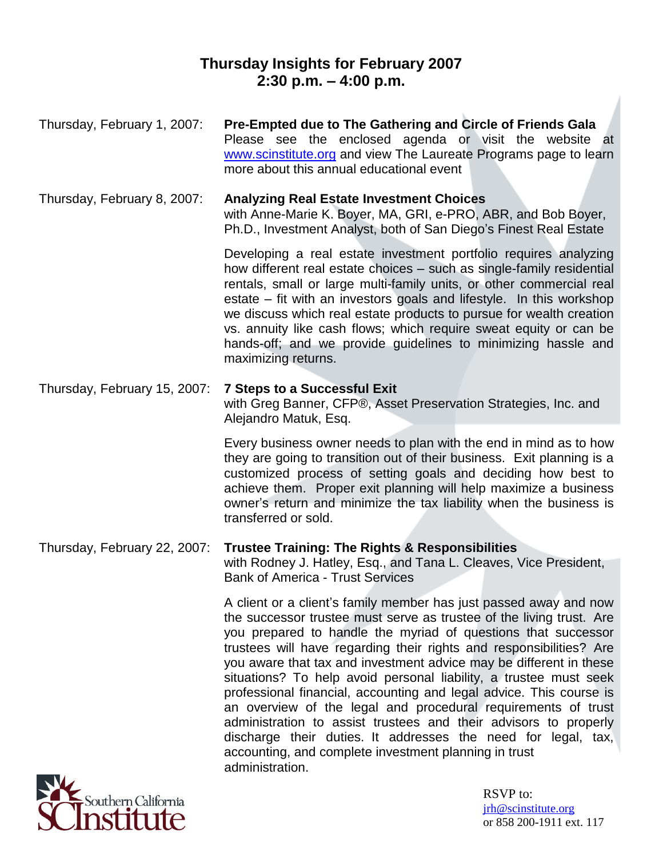## **Thursday Insights for February 2007 2:30 p.m. –4:00 p.m.**

| Thursday, February 1, 2007:  | Pre-Empted due to The Gathering and Circle of Friends Gala<br>Please see the enclosed agenda or visit the website at<br>www.scinstitute.org and view The Laureate Programs page to learn<br>more about this annual educational event                                                                                                                                                                                                                                                                                                                                                                                                                                                                                                                                                  |
|------------------------------|---------------------------------------------------------------------------------------------------------------------------------------------------------------------------------------------------------------------------------------------------------------------------------------------------------------------------------------------------------------------------------------------------------------------------------------------------------------------------------------------------------------------------------------------------------------------------------------------------------------------------------------------------------------------------------------------------------------------------------------------------------------------------------------|
| Thursday, February 8, 2007:  | <b>Analyzing Real Estate Investment Choices</b><br>with Anne-Marie K. Boyer, MA, GRI, e-PRO, ABR, and Bob Boyer,<br>Ph.D., Investment Analyst, both of San Diego's Finest Real Estate                                                                                                                                                                                                                                                                                                                                                                                                                                                                                                                                                                                                 |
|                              | Developing a real estate investment portfolio requires analyzing<br>how different real estate choices – such as single-family residential<br>rentals, small or large multi-family units, or other commercial real<br>estate – fit with an investors goals and lifestyle. In this workshop<br>we discuss which real estate products to pursue for wealth creation<br>vs. annuity like cash flows; which require sweat equity or can be<br>hands-off; and we provide guidelines to minimizing hassle and<br>maximizing returns.                                                                                                                                                                                                                                                         |
| Thursday, February 15, 2007: | <b>7 Steps to a Successful Exit</b><br>with Greg Banner, CFP®, Asset Preservation Strategies, Inc. and<br>Alejandro Matuk, Esq.                                                                                                                                                                                                                                                                                                                                                                                                                                                                                                                                                                                                                                                       |
|                              | Every business owner needs to plan with the end in mind as to how<br>they are going to transition out of their business. Exit planning is a<br>customized process of setting goals and deciding how best to<br>achieve them. Proper exit planning will help maximize a business<br>owner's return and minimize the tax liability when the business is<br>transferred or sold.                                                                                                                                                                                                                                                                                                                                                                                                         |
| Thursday, February 22, 2007: | <b>Trustee Training: The Rights &amp; Responsibilities</b><br>with Rodney J. Hatley, Esq., and Tana L. Cleaves, Vice President,<br><b>Bank of America - Trust Services</b>                                                                                                                                                                                                                                                                                                                                                                                                                                                                                                                                                                                                            |
|                              | A client or a client's family member has just passed away and now<br>the successor trustee must serve as trustee of the living trust. Are<br>you prepared to handle the myriad of questions that successor<br>trustees will have regarding their rights and responsibilities? Are<br>you aware that tax and investment advice may be different in these<br>situations? To help avoid personal liability, a trustee must seek<br>professional financial, accounting and legal advice. This course is<br>an overview of the legal and procedural requirements of trust<br>administration to assist trustees and their advisors to properly<br>discharge their duties. It addresses the need for legal, tax,<br>accounting, and complete investment planning in trust<br>administration. |
|                              |                                                                                                                                                                                                                                                                                                                                                                                                                                                                                                                                                                                                                                                                                                                                                                                       |

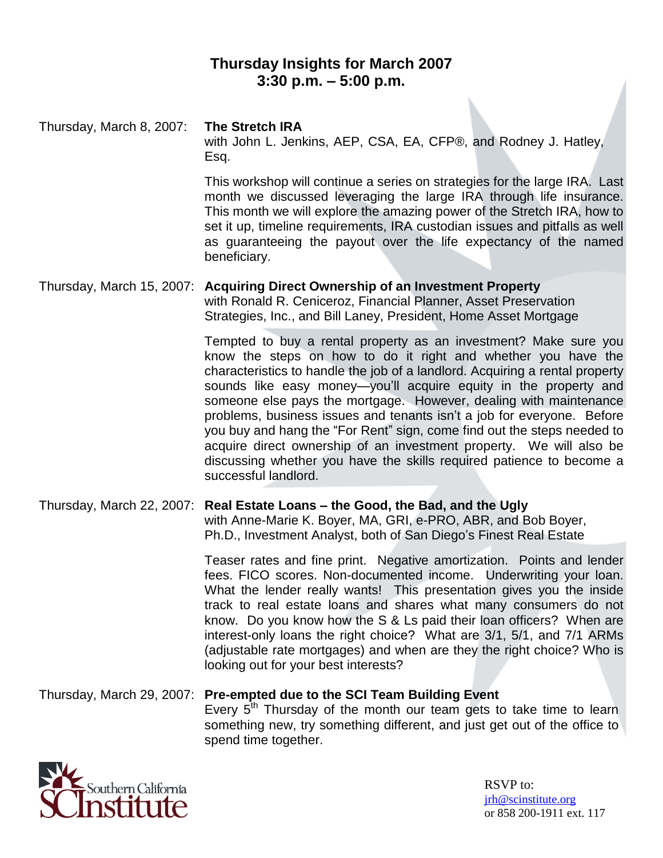## **Thursday Insights for March 2007 3:30 p.m. –5:00 p.m.**

Thursday, March 8, 2007: **The Stretch IRA** with John L. Jenkins, AEP, CSA, EA, CFP®, and Rodney J. Hatley, Esq. This workshop will continue a series on strategies for the large IRA. Last month we discussed leveraging the large IRA through life insurance.

This month we will explore the amazing power of the Stretch IRA, how to set it up, timeline requirements, IRA custodian issues and pitfalls as well as guaranteeing the payout over the life expectancy of the named beneficiary.

Thursday, March 15, 2007: **Acquiring Direct Ownership of an Investment Property** with Ronald R. Ceniceroz, Financial Planner, Asset Preservation Strategies, Inc., and Bill Laney, President, Home Asset Mortgage

> Tempted to buy a rental property as an investment? Make sure you know the steps on how to do it right and whether you have the characteristics to handle the job of a landlord. Acquiring a rental property sounds like easy money—you'll acquire equity in the property and someone else pays the mortgage. However, dealing with maintenance problems, business issues and tenants isn't a job for everyone. Before you buy and hang the "For Rent" sign, come find out the steps needed to acquire direct ownership of an investment property. We will also be discussing whether you have the skills required patience to become a successful landlord.

Thursday, March 22, 2007: **Real Estate Loans –the Good, the Bad, and the Ugly** with Anne-Marie K. Boyer, MA, GRI, e-PRO, ABR, and Bob Boyer, Ph.D., Investment Analyst, both of San Diego's Finest Real Estate

> Teaser rates and fine print. Negative amortization. Points and lender fees. FICO scores. Non-documented income. Underwriting your loan. What the lender really wants! This presentation gives you the inside track to real estate loans and shares what many consumers do not know. Do you know how the S & Ls paid their loan officers? When are interest-only loans the right choice? What are 3/1, 5/1, and 7/1 ARMs (adjustable rate mortgages) and when are they the right choice? Who is looking out for your best interests?

#### Thursday, March 29, 2007: **Pre-empted due to the SCI Team Building Event** Every  $5<sup>th</sup>$  Thursday of the month our team gets to take time to learn something new, try something different, and just get out of the office to spend time together.

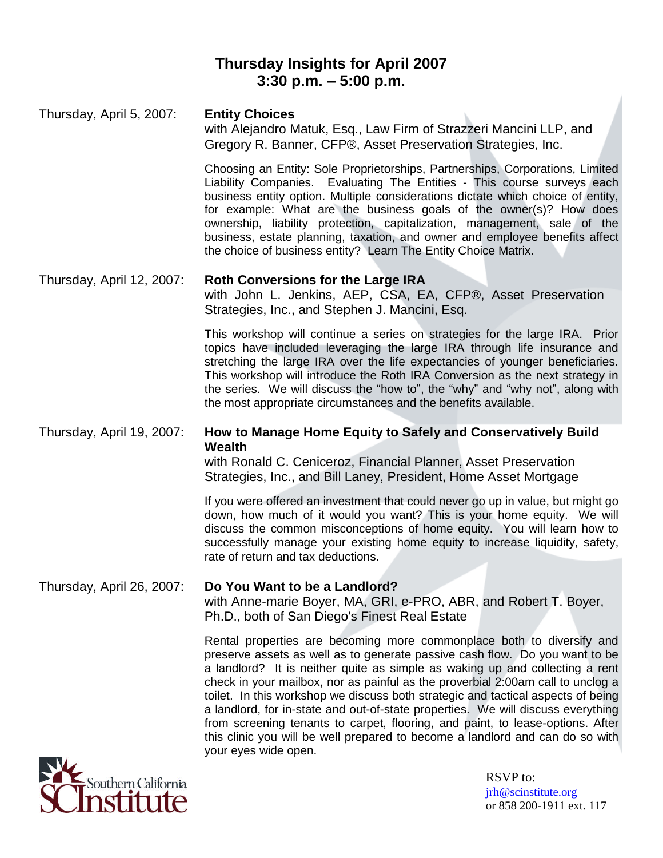## **Thursday Insights for April 2007 3:30 p.m. –5:00 p.m.**

# Thursday, April 5, 2007: **Entity Choices** with Alejandro Matuk, Esq., Law Firm of Strazzeri Mancini LLP, and Gregory R. Banner, CFP®, Asset Preservation Strategies, Inc. Choosing an Entity: Sole Proprietorships, Partnerships, Corporations, Limited

Liability Companies. Evaluating The Entities - This course surveys each business entity option. Multiple considerations dictate which choice of entity, for example: What are the business goals of the owner(s)? How does ownership, liability protection, capitalization, management, sale of the business, estate planning, taxation, and owner and employee benefits affect the choice of business entity? Learn The Entity Choice Matrix.

### Thursday, April 12, 2007: **Roth Conversions for the Large IRA**

with John L. Jenkins, AEP, CSA, EA, CFP®, Asset Preservation Strategies, Inc., and Stephen J. Mancini, Esq.

This workshop will continue a series on strategies for the large IRA. Prior topics have included leveraging the large IRA through life insurance and stretching the large IRA over the life expectancies of younger beneficiaries. This workshop will introduce the Roth IRA Conversion as the next strategy in the series. We will discuss the "how to", the "why" and "why not", along with the most appropriate circumstances and the benefits available.

### Thursday, April 19, 2007: **How to Manage Home Equity to Safely and Conservatively Build Wealth**

with Ronald C. Ceniceroz, Financial Planner, Asset Preservation Strategies, Inc., and Bill Laney, President, Home Asset Mortgage

If you were offered an investment that could never go up in value, but might go down, how much of it would you want? This is your home equity. We will discuss the common misconceptions of home equity. You will learn how to successfully manage your existing home equity to increase liquidity, safety, rate of return and tax deductions.

#### Thursday, April 26, 2007: **Do You Want to be a Landlord?** with Anne-marie Boyer, MA, GRI, e-PRO, ABR, and Robert T. Boyer, Ph.D., both of San Diego's Finest Real Estate

Rental properties are becoming more commonplace both to diversify and preserve assets as well as to generate passive cash flow. Do you want to be a landlord? It is neither quite as simple as waking up and collecting a rent check in your mailbox, nor as painful as the proverbial 2:00am call to unclog a toilet. In this workshop we discuss both strategic and tactical aspects of being a landlord, for in-state and out-of-state properties. We will discuss everything from screening tenants to carpet, flooring, and paint, to lease-options. After this clinic you will be well prepared to become a landlord and can do so with your eyes wide open.

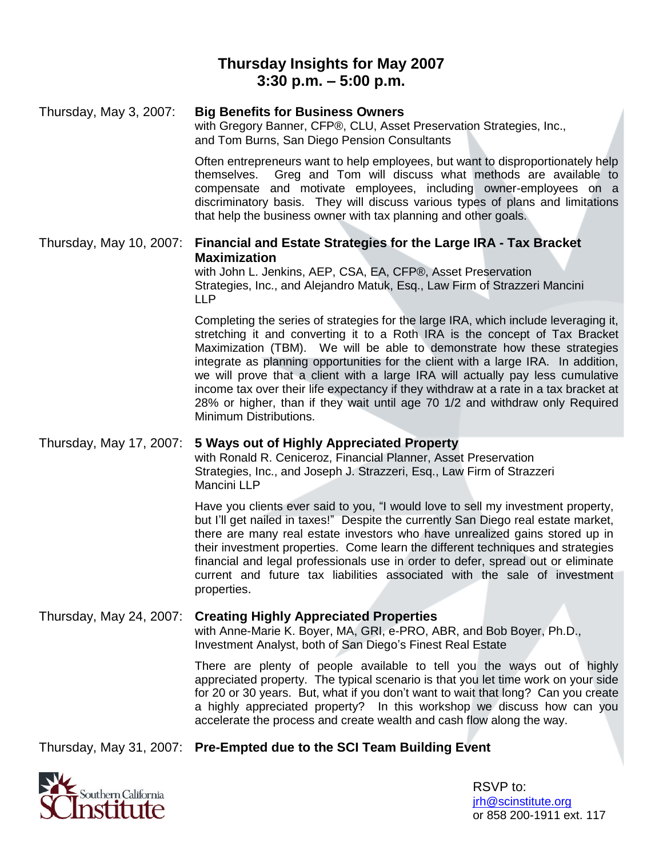## **Thursday Insights for May 2007 3:30 p.m. –5:00 p.m.**

### Thursday, May 3, 2007: **Big Benefits for Business Owners** with Gregory Banner, CFP®, CLU, Asset Preservation Strategies, Inc., and Tom Burns, San Diego Pension Consultants Often entrepreneurs want to help employees, but want to disproportionately help themselves. Greg and Tom will discuss what methods are available to compensate and motivate employees, including owner-employees on a discriminatory basis. They will discuss various types of plans and limitations that help the business owner with tax planning and other goals. Thursday, May 10, 2007: **Financial and Estate Strategies for the Large IRA - Tax Bracket Maximization** with John L. Jenkins, AEP, CSA, EA, CFP®, Asset Preservation Strategies, Inc., and Alejandro Matuk, Esq., Law Firm of Strazzeri Mancini LLP Completing the series of strategies for the large IRA, which include leveraging it,

stretching it and converting it to a Roth IRA is the concept of Tax Bracket Maximization (TBM). We will be able to demonstrate how these strategies integrate as planning opportunities for the client with a large IRA. In addition, we will prove that a client with a large IRA will actually pay less cumulative income tax over their life expectancy if they withdraw at a rate in a tax bracket at 28% or higher, than if they wait until age 70 1/2 and withdraw only Required Minimum Distributions.

### Thursday, May 17, 2007: **5 Ways out of Highly Appreciated Property**

with Ronald R. Ceniceroz, Financial Planner, Asset Preservation Strategies, Inc., and Joseph J. Strazzeri, Esq., Law Firm of Strazzeri Mancini LLP

Have you clients ever said to you, "I would love to sell my investment property, but I'll get nailed in taxes!" Despite the currently San Diego real estate market, there are many real estate investors who have unrealized gains stored up in their investment properties. Come learn the different techniques and strategies financial and legal professionals use in order to defer, spread out or eliminate current and future tax liabilities associated with the sale of investment properties.

### Thursday, May 24, 2007: **Creating Highly Appreciated Properties** with Anne-Marie K. Boyer, MA, GRI, e-PRO, ABR, and Bob Boyer, Ph.D., Investment Analyst, both of San Diego's Finest Real Estate

There are plenty of people available to tell you the ways out of highly appreciated property. The typical scenario is that you let time work on your side for 20 or 30 years. But, what if you don't want to wait that long? Can you create a highly appreciated property? In this workshop we discuss how can you accelerate the process and create wealth and cash flow along the way.

Thursday, May 31, 2007: **Pre-Empted due to the SCI Team Building Event**

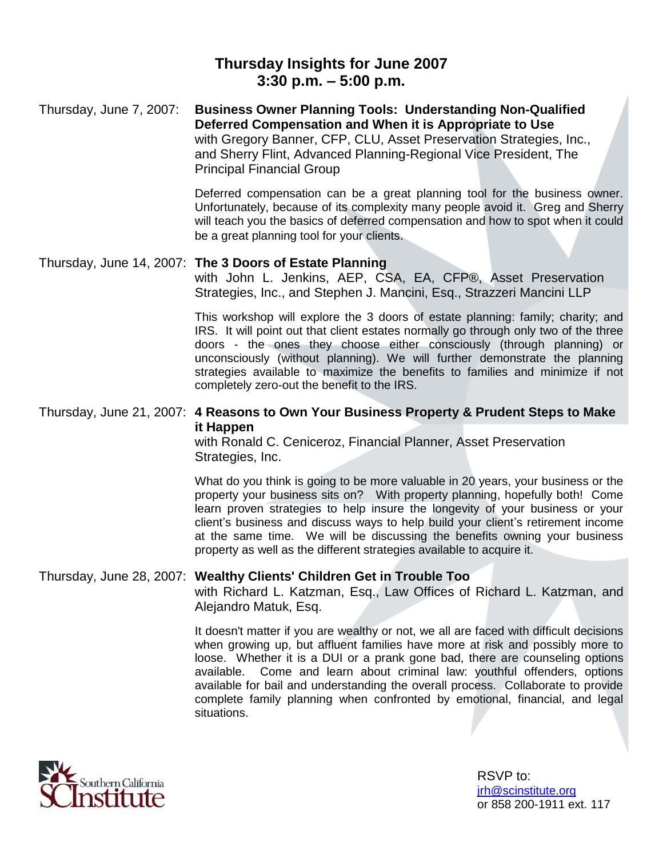## **Thursday Insights for June 2007 3:30 p.m. –5:00 p.m.**

Thursday, June 7, 2007: **Business Owner Planning Tools: Understanding Non-Qualified Deferred Compensation and When it is Appropriate to Use** with Gregory Banner, CFP, CLU, Asset Preservation Strategies, Inc., and Sherry Flint, Advanced Planning-Regional Vice President, The Principal Financial Group

> Deferred compensation can be a great planning tool for the business owner. Unfortunately, because of its complexity many people avoid it. Greg and Sherry will teach you the basics of deferred compensation and how to spot when it could be a great planning tool for your clients.

### Thursday, June 14, 2007: **The 3 Doors of Estate Planning**

with John L. Jenkins, AEP, CSA, EA, CFP®, Asset Preservation Strategies, Inc., and Stephen J. Mancini, Esq., Strazzeri Mancini LLP

This workshop will explore the 3 doors of estate planning: family; charity; and IRS. It will point out that client estates normally go through only two of the three doors - the ones they choose either consciously (through planning) or unconsciously (without planning). We will further demonstrate the planning strategies available to maximize the benefits to families and minimize if not completely zero-out the benefit to the IRS.

### Thursday, June 21, 2007: **4 Reasons to Own Your Business Property & Prudent Steps to Make it Happen**

with Ronald C. Ceniceroz, Financial Planner, Asset Preservation Strategies, Inc.

What do you think is going to be more valuable in 20 years, your business or the property your business sits on? With property planning, hopefully both! Come learn proven strategies to help insure the longevity of your business or your client's business and discuss ways to help build your client's retirement income at the same time. We will be discussing the benefits owning your business property as well as the different strategies available to acquire it.

#### Thursday, June 28, 2007: **Wealthy Clients' Children Get in Trouble Too**

with Richard L. Katzman, Esq., Law Offices of Richard L. Katzman, and Alejandro Matuk, Esq.

It doesn't matter if you are wealthy or not, we all are faced with difficult decisions when growing up, but affluent families have more at risk and possibly more to loose. Whether it is a DUI or a prank gone bad, there are counseling options available. Come and learn about criminal law: youthful offenders, options available for bail and understanding the overall process. Collaborate to provide complete family planning when confronted by emotional, financial, and legal situations.

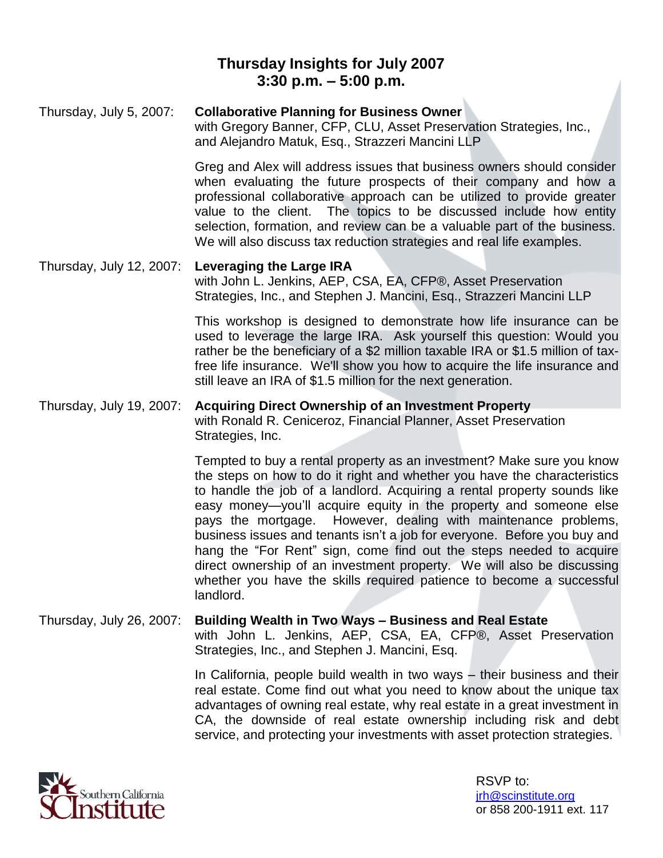# **Thursday Insights for July 2007 3:30 p.m. –5:00 p.m.**

#### Thursday, July 5, 2007: **Collaborative Planning for Business Owner**

with Gregory Banner, CFP, CLU, Asset Preservation Strategies, Inc., and Alejandro Matuk, Esq., Strazzeri Mancini LLP

Greg and Alex will address issues that business owners should consider when evaluating the future prospects of their company and how a professional collaborative approach can be utilized to provide greater value to the client. The topics to be discussed include how entity selection, formation, and review can be a valuable part of the business. We will also discuss tax reduction strategies and real life examples.

#### Thursday, July 12, 2007: **Leveraging the Large IRA** with John L. Jenkins, AEP, CSA, EA, CFP®, Asset Preservation Strategies, Inc., and Stephen J. Mancini, Esq., Strazzeri Mancini LLP

This workshop is designed to demonstrate how life insurance can be used to leverage the large IRA. Ask yourself this question: Would you rather be the beneficiary of a \$2 million taxable IRA or \$1.5 million of taxfree life insurance. We'll show you how to acquire the life insurance and still leave an IRA of \$1.5 million for the next generation.

#### Thursday, July 19, 2007: **Acquiring Direct Ownership of an Investment Property** with Ronald R. Ceniceroz, Financial Planner, Asset Preservation Strategies, Inc.

Tempted to buy a rental property as an investment? Make sure you know the steps on how to do it right and whether you have the characteristics to handle the job of a landlord. Acquiring a rental property sounds like easy money—you'll acquire equity in the property and someone else pays the mortgage. However, dealing with maintenance problems, business issues and tenants isn't a job for everyone. Before you buy and hang the "For Rent" sign, come find out the steps needed to acquire direct ownership of an investment property. We will also be discussing whether you have the skills required patience to become a successful landlord.

### Thursday, July 26, 2007: **Building Wealth in Two Ways –Business and Real Estate** with John L. Jenkins, AEP, CSA, EA, CFP®, Asset Preservation Strategies, Inc., and Stephen J. Mancini, Esq.

In California, people build wealth in two ways  $-$  their business and their real estate. Come find out what you need to know about the unique tax advantages of owning real estate, why real estate in a great investment in CA, the downside of real estate ownership including risk and debt service, and protecting your investments with asset protection strategies.

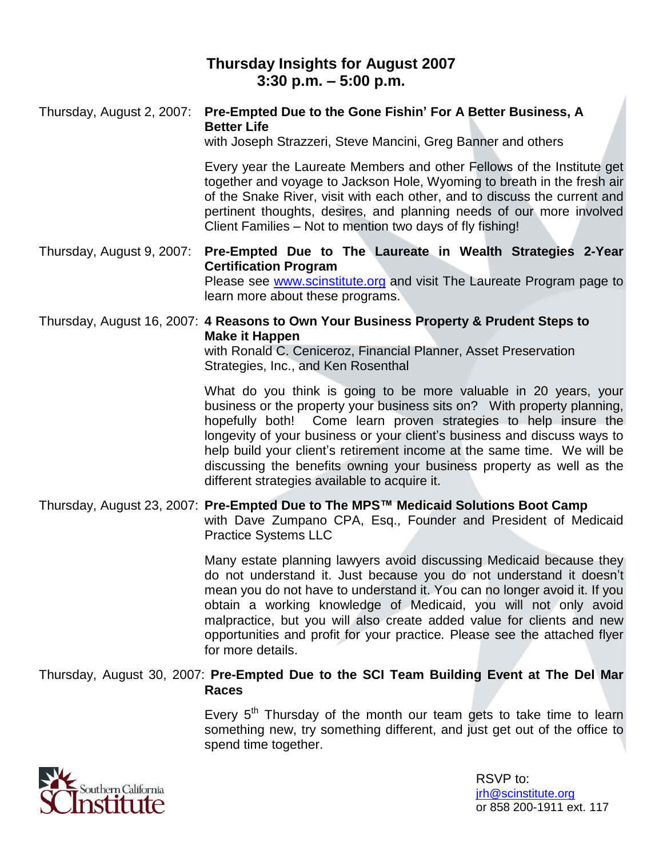## **Thursday Insights for August 2007 3:30 p.m. –5:00 p.m.**

#### Thursday, August 2, 2007: **Pre-Empted Due to the Gone Fishin'For A Better Business, A Better Life**

with Joseph Strazzeri, Steve Mancini, Greg Banner and others

Every year the Laureate Members and other Fellows of the Institute get together and voyage to Jackson Hole, Wyoming to breath in the fresh air of the Snake River, visit with each other, and to discuss the current and pertinent thoughts, desires, and planning needs of our more involved Client Families – Not to mention two days of fly fishing!

Thursday, August 9, 2007: **Pre-Empted Due to The Laureate in Wealth Strategies 2-Year Certification Program** Please see www.scinstitute.org and visit The Laureate Program page to learn more about these programs.

Thursday, August 16, 2007: **4 Reasons to Own Your Business Property & Prudent Steps to Make it Happen**

with Ronald C. Ceniceroz, Financial Planner, Asset Preservation Strategies, Inc., and Ken Rosenthal

What do you think is going to be more valuable in 20 years, your business or the property your business sits on? With property planning, hopefully both! Come learn proven strategies to help insure the longevity of your business or your client's business and discuss ways to help build your client's retirement income at the same time. We will be discussing the benefits owning your business property as well as the different strategies available to acquire it.

Thursday, August 23, 2007: **Pre-Empted Due to The MPS™ Medicaid Solutions Boot Camp** with Dave Zumpano CPA, Esq., Founder and President of Medicaid Practice Systems LLC

> Many estate planning lawyers avoid discussing Medicaid because they do not understand it. Just because you do not understand it doesn't mean you do not have to understand it. You can no longer avoid it. If you obtain a working knowledge of Medicaid, you will not only avoid malpractice, but you will also create added value for clients and new opportunities and profit for your practice*.* Please see the attached flyer for more details.

#### Thursday, August 30, 2007: **Pre-Empted Due to the SCI Team Building Event at The Del Mar Races**

Every  $5<sup>th</sup>$  Thursday of the month our team gets to take time to learn something new, try something different, and just get out of the office to spend time together.

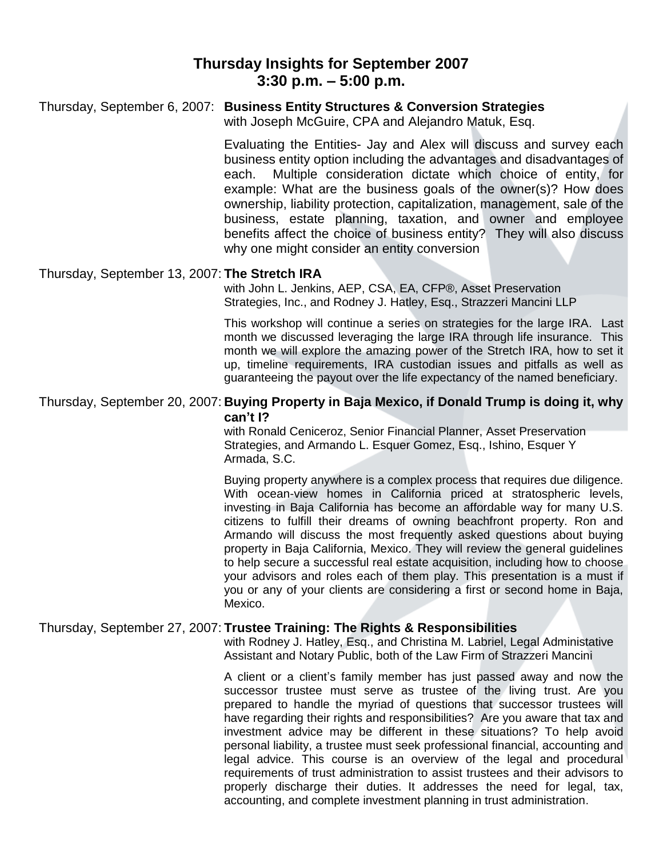### **Thursday Insights for September 2007 3:30 p.m. –5:00 p.m.**

### Thursday, September 6, 2007: **Business Entity Structures & Conversion Strategies**

with Joseph McGuire, CPA and Alejandro Matuk, Esq.

Evaluating the Entities- Jay and Alex will discuss and survey each business entity option including the advantages and disadvantages of each. Multiple consideration dictate which choice of entity, for example: What are the business goals of the owner(s)? How does ownership, liability protection, capitalization, management, sale of the business, estate planning, taxation, and owner and employee benefits affect the choice of business entity? They will also discuss why one might consider an entity conversion

#### Thursday, September 13, 2007: **The Stretch IRA**

with John L. Jenkins, AEP, CSA, EA, CFP®, Asset Preservation Strategies, Inc., and Rodney J. Hatley, Esq., Strazzeri Mancini LLP

This workshop will continue a series on strategies for the large IRA. Last month we discussed leveraging the large IRA through life insurance. This month we will explore the amazing power of the Stretch IRA, how to set it up, timeline requirements, IRA custodian issues and pitfalls as well as guaranteeing the payout over the life expectancy of the named beneficiary.

#### Thursday, September 20, 2007: **Buying Property in Baja Mexico, if Donald Trump is doing it, why can't I?**

with Ronald Ceniceroz, Senior Financial Planner, Asset Preservation Strategies, and Armando L. Esquer Gomez, Esq., Ishino, Esquer Y Armada, S.C.

Buying property anywhere is a complex process that requires due diligence. With ocean-view homes in California priced at stratospheric levels, investing in Baja California has become an affordable way for many U.S. citizens to fulfill their dreams of owning beachfront property. Ron and Armando will discuss the most frequently asked questions about buying property in Baja California, Mexico. They will review the general guidelines to help secure a successful real estate acquisition, including how to choose your advisors and roles each of them play. This presentation is a must if you or any of your clients are considering a first or second home in Baja, Mexico.

#### Thursday, September 27, 2007: **Trustee Training: The Rights & Responsibilities**

with Rodney J. Hatley, Esq., and Christina M. Labriel, Legal Administative Assistant and Notary Public, both of the Law Firm of Strazzeri Mancini

A client or a client's family member has just passed away and now the successor trustee must serve as trustee of the living trust. Are you prepared to handle the myriad of questions that successor trustees will have regarding their rights and responsibilities? Are you aware that tax and investment advice may be different in these situations? To help avoid personal liability, a trustee must seek professional financial, accounting and legal advice. This course is an overview of the legal and procedural requirements of trust administration to assist trustees and their advisors to properly discharge their duties. It addresses the need for legal, tax, accounting, and complete investment planning in trust administration.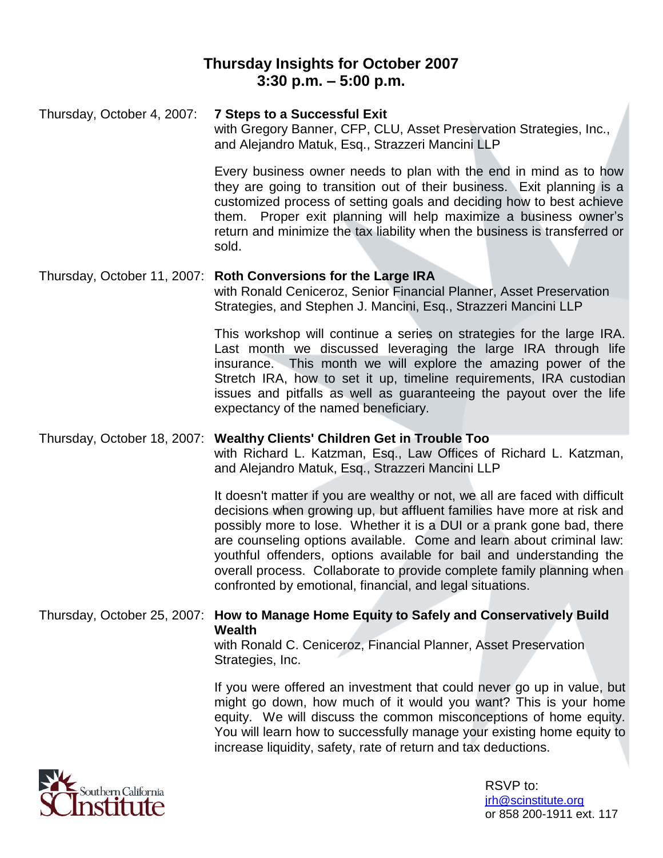## **Thursday Insights for October 2007 3:30 p.m. –5:00 p.m.**

Thursday, October 4, 2007: **7 Steps to a Successful Exit** with Gregory Banner, CFP, CLU, Asset Preservation Strategies, Inc., and Alejandro Matuk, Esq., Strazzeri Mancini LLP Every business owner needs to plan with the end in mind as to how

they are going to transition out of their business. Exit planning is a customized process of setting goals and deciding how to best achieve them. Proper exit planning will help maximize a business owner's return and minimize the tax liability when the business is transferred or sold.

### Thursday, October 11, 2007: **Roth Conversions for the Large IRA** with Ronald Ceniceroz, Senior Financial Planner, Asset Preservation Strategies, and Stephen J. Mancini, Esq., Strazzeri Mancini LLP

This workshop will continue a series on strategies for the large IRA. Last month we discussed leveraging the large IRA through life insurance. This month we will explore the amazing power of the Stretch IRA, how to set it up, timeline requirements, IRA custodian issues and pitfalls as well as guaranteeing the payout over the life expectancy of the named beneficiary.

Thursday, October 18, 2007: **Wealthy Clients' Children Get in Trouble Too** with Richard L. Katzman, Esq., Law Offices of Richard L. Katzman, and Alejandro Matuk, Esq., Strazzeri Mancini LLP

> It doesn't matter if you are wealthy or not, we all are faced with difficult decisions when growing up, but affluent families have more at risk and possibly more to lose. Whether it is a DUI or a prank gone bad, there are counseling options available. Come and learn about criminal law: youthful offenders, options available for bail and understanding the overall process. Collaborate to provide complete family planning when confronted by emotional, financial, and legal situations.

### Thursday, October 25, 2007: **How to Manage Home Equity to Safely and Conservatively Build Wealth**

with Ronald C. Ceniceroz, Financial Planner, Asset Preservation Strategies, Inc.

If you were offered an investment that could never go up in value, but might go down, how much of it would you want? This is your home equity. We will discuss the common misconceptions of home equity. You will learn how to successfully manage your existing home equity to increase liquidity, safety, rate of return and tax deductions.